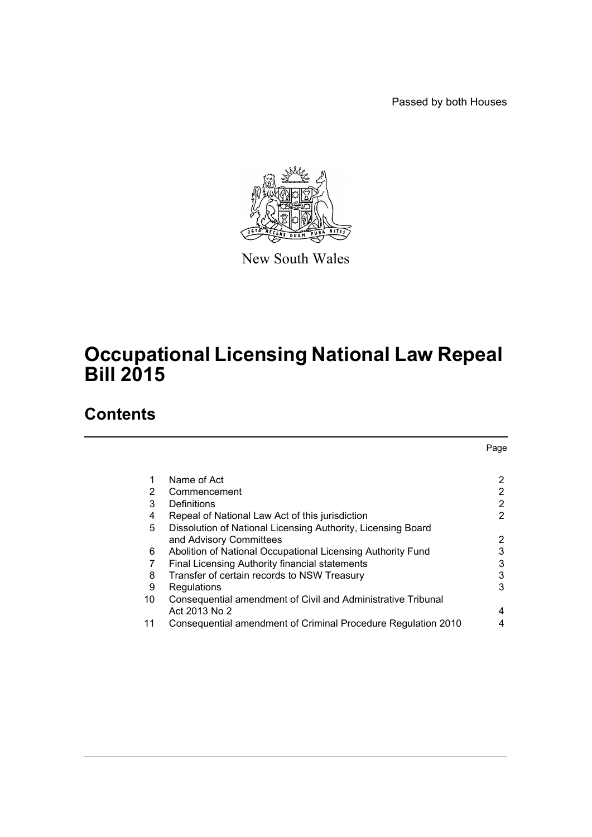Passed by both Houses



New South Wales

# **Occupational Licensing National Law Repeal Bill 2015**

## **Contents**

|    |                                                               | Page |
|----|---------------------------------------------------------------|------|
|    |                                                               |      |
|    | Name of Act                                                   | 2    |
| 2  | Commencement                                                  | 2    |
| 3  | Definitions                                                   | 2    |
| 4  | Repeal of National Law Act of this jurisdiction               | 2    |
| 5  | Dissolution of National Licensing Authority, Licensing Board  |      |
|    | and Advisory Committees                                       | 2    |
| 6  | Abolition of National Occupational Licensing Authority Fund   | 3    |
| 7  | Final Licensing Authority financial statements                | 3    |
| 8  | Transfer of certain records to NSW Treasury                   | 3    |
| 9  | Regulations                                                   | 3    |
| 10 | Consequential amendment of Civil and Administrative Tribunal  |      |
|    | Act 2013 No 2                                                 | 4    |
| 11 | Consequential amendment of Criminal Procedure Regulation 2010 | 4    |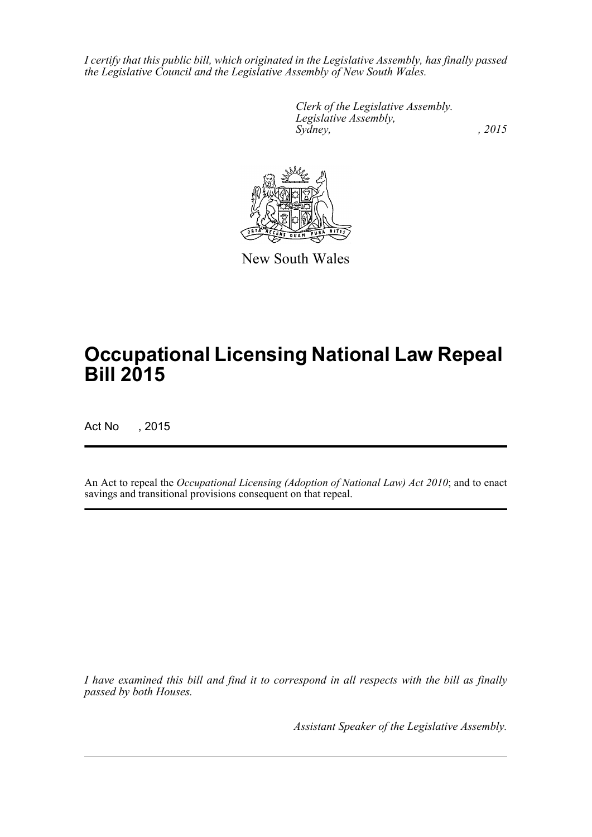*I certify that this public bill, which originated in the Legislative Assembly, has finally passed the Legislative Council and the Legislative Assembly of New South Wales.*

> *Clerk of the Legislative Assembly. Legislative Assembly, Sydney,* , 2015



New South Wales

# **Occupational Licensing National Law Repeal Bill 2015**

Act No , 2015

An Act to repeal the *Occupational Licensing (Adoption of National Law) Act 2010*; and to enact savings and transitional provisions consequent on that repeal.

*I have examined this bill and find it to correspond in all respects with the bill as finally passed by both Houses.*

*Assistant Speaker of the Legislative Assembly.*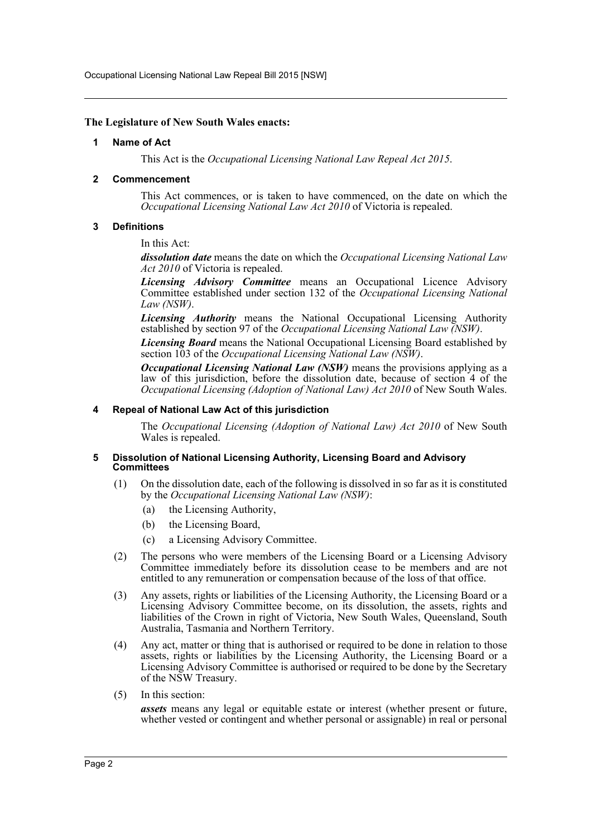Occupational Licensing National Law Repeal Bill 2015 [NSW]

## <span id="page-2-0"></span>**The Legislature of New South Wales enacts:**

#### **1 Name of Act**

This Act is the *Occupational Licensing National Law Repeal Act 2015*.

## <span id="page-2-1"></span>**2 Commencement**

This Act commences, or is taken to have commenced, on the date on which the *Occupational Licensing National Law Act 2010* of Victoria is repealed.

## <span id="page-2-2"></span>**3 Definitions**

In this Act:

*dissolution date* means the date on which the *Occupational Licensing National Law Act 2010* of Victoria is repealed.

*Licensing Advisory Committee* means an Occupational Licence Advisory Committee established under section 132 of the *Occupational Licensing National Law (NSW)*.

*Licensing Authority* means the National Occupational Licensing Authority established by section 97 of the *Occupational Licensing National Law (NSW)*.

*Licensing Board* means the National Occupational Licensing Board established by section 103 of the *Occupational Licensing National Law (NSW)*.

*Occupational Licensing National Law (NSW)* means the provisions applying as a law of this jurisdiction, before the dissolution date, because of section 4 of the *Occupational Licensing (Adoption of National Law) Act 2010* of New South Wales.

## <span id="page-2-3"></span>**4 Repeal of National Law Act of this jurisdiction**

The *Occupational Licensing (Adoption of National Law) Act 2010* of New South Wales is repealed.

#### <span id="page-2-4"></span>**5 Dissolution of National Licensing Authority, Licensing Board and Advisory Committees**

- (1) On the dissolution date, each of the following is dissolved in so far as it is constituted by the *Occupational Licensing National Law (NSW)*:
	- (a) the Licensing Authority,
	- (b) the Licensing Board,
	- (c) a Licensing Advisory Committee.
- (2) The persons who were members of the Licensing Board or a Licensing Advisory Committee immediately before its dissolution cease to be members and are not entitled to any remuneration or compensation because of the loss of that office.
- (3) Any assets, rights or liabilities of the Licensing Authority, the Licensing Board or a Licensing Advisory Committee become, on its dissolution, the assets, rights and liabilities of the Crown in right of Victoria, New South Wales, Queensland, South Australia, Tasmania and Northern Territory.
- (4) Any act, matter or thing that is authorised or required to be done in relation to those assets, rights or liabilities by the Licensing Authority, the Licensing Board or a Licensing Advisory Committee is authorised or required to be done by the Secretary of the NSW Treasury.
- (5) In this section:

*assets* means any legal or equitable estate or interest (whether present or future, whether vested or contingent and whether personal or assignable) in real or personal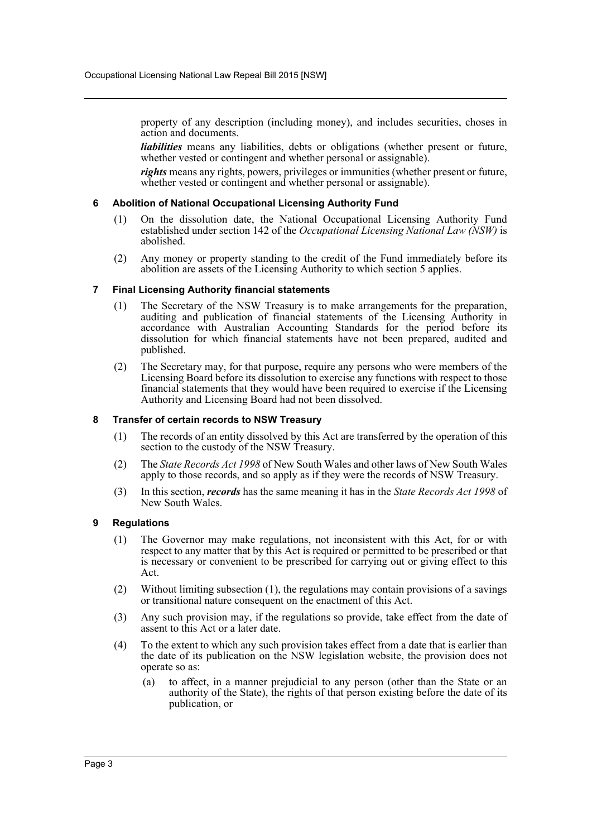property of any description (including money), and includes securities, choses in action and documents.

*liabilities* means any liabilities, debts or obligations (whether present or future, whether vested or contingent and whether personal or assignable).

*rights* means any rights, powers, privileges or immunities (whether present or future, whether vested or contingent and whether personal or assignable).

## <span id="page-3-0"></span>**6 Abolition of National Occupational Licensing Authority Fund**

- (1) On the dissolution date, the National Occupational Licensing Authority Fund established under section 142 of the *Occupational Licensing National Law (NSW)* is abolished.
- (2) Any money or property standing to the credit of the Fund immediately before its abolition are assets of the Licensing Authority to which section 5 applies.

## <span id="page-3-1"></span>**7 Final Licensing Authority financial statements**

- (1) The Secretary of the NSW Treasury is to make arrangements for the preparation, auditing and publication of financial statements of the Licensing Authority in accordance with Australian Accounting Standards for the period before its dissolution for which financial statements have not been prepared, audited and published.
- (2) The Secretary may, for that purpose, require any persons who were members of the Licensing Board before its dissolution to exercise any functions with respect to those financial statements that they would have been required to exercise if the Licensing Authority and Licensing Board had not been dissolved.

#### <span id="page-3-2"></span>**8 Transfer of certain records to NSW Treasury**

- (1) The records of an entity dissolved by this Act are transferred by the operation of this section to the custody of the NSW Treasury.
- (2) The *State Records Act 1998* of New South Wales and other laws of New South Wales apply to those records, and so apply as if they were the records of NSW Treasury.
- (3) In this section, *records* has the same meaning it has in the *State Records Act 1998* of New South Wales.

#### <span id="page-3-3"></span>**9 Regulations**

- (1) The Governor may make regulations, not inconsistent with this Act, for or with respect to any matter that by this Act is required or permitted to be prescribed or that is necessary or convenient to be prescribed for carrying out or giving effect to this Act.
- (2) Without limiting subsection (1), the regulations may contain provisions of a savings or transitional nature consequent on the enactment of this Act.
- (3) Any such provision may, if the regulations so provide, take effect from the date of assent to this Act or a later date.
- (4) To the extent to which any such provision takes effect from a date that is earlier than the date of its publication on the NSW legislation website, the provision does not operate so as:
	- (a) to affect, in a manner prejudicial to any person (other than the State or an authority of the State), the rights of that person existing before the date of its publication, or